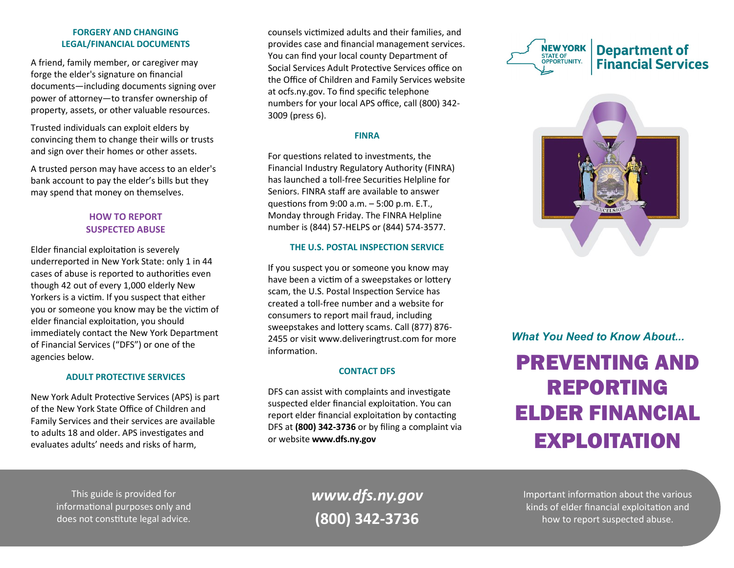## **FORGERY AND CHANGING LEGAL/FINANCIAL DOCUMENTS**

A friend, family member, or caregiver may forge the elder's signature on financial documents—including documents signing over power of attorney—to transfer ownership of property, assets, or other valuable resources.

Trusted individuals can exploit elders by convincing them to change their wills or trusts and sign over their homes or other assets.

A trusted person may have access to an elder's bank account to pay the elder's bills but they may spend that money on themselves.

# **HOW TO REPORT SUSPECTED ABUSE**

Elder financial exploitation is severely underreported in New York State: only 1 in 44 cases of abuse is reported to authorities even though 42 out of every 1,000 elderly New Yorkers is a victim. If you suspect that either you or someone you know may be the victim of elder financial exploitation, you should immediately contact the New York Department of Financial Services ("DFS") or one of the agencies below.

# **ADULT PROTECTIVE SERVICES**

New York Adult Protective Services (APS) is part of the New York State Office of Children and Family Services and their services are available to adults 18 and older. APS investigates and evaluates adults' needs and risks of harm,

counsels victimized adults and their families, and provides case and financial management services. You can find your local county Department of Social Services Adult Protective Services office on the Office of Children and Family Services website at ocfs.ny.gov. To find specific telephone numbers for your local APS office, call (800) 342- 3009 (press 6).

## **FINRA**

For questions related to investments, the Financial Industry Regulatory Authority (FINRA) has launched a toll-free Securities Helpline for Seniors. FINRA staff are available to answer questions from 9:00 a.m. – 5:00 p.m. E.T., Monday through Friday. The FINRA Helpline number is (844) 57-HELPS or (844) 574-3577.

## **THE U.S. POSTAL INSPECTION SERVICE**

If you suspect you or someone you know may have been a victim of a sweepstakes or lottery scam, the U.S. Postal Inspection Service has created a toll-free number and a website for consumers to report mail fraud, including sweepstakes and lottery scams. Call (877) 876- 2455 or visit www.deliveringtrust.com for more information.

# **CONTACT DFS**

DFS can assist with complaints and investigate suspected elder financial exploitation. You can report elder financial exploitation by contacting DFS at **(800) 342-3736** or by filing a complaint via or website **www.dfs.ny.gov**





*What You Need to Know About...*

# PREVENTING AND REPORTING ELDER FINANCIAL EXPLOITATION

This guide is provided for informational purposes only and does not constitute legal advice.

*www.dfs.ny.gov* **(800) 342-3736**

Important information about the various kinds of elder financial exploitation and how to report suspected abuse.